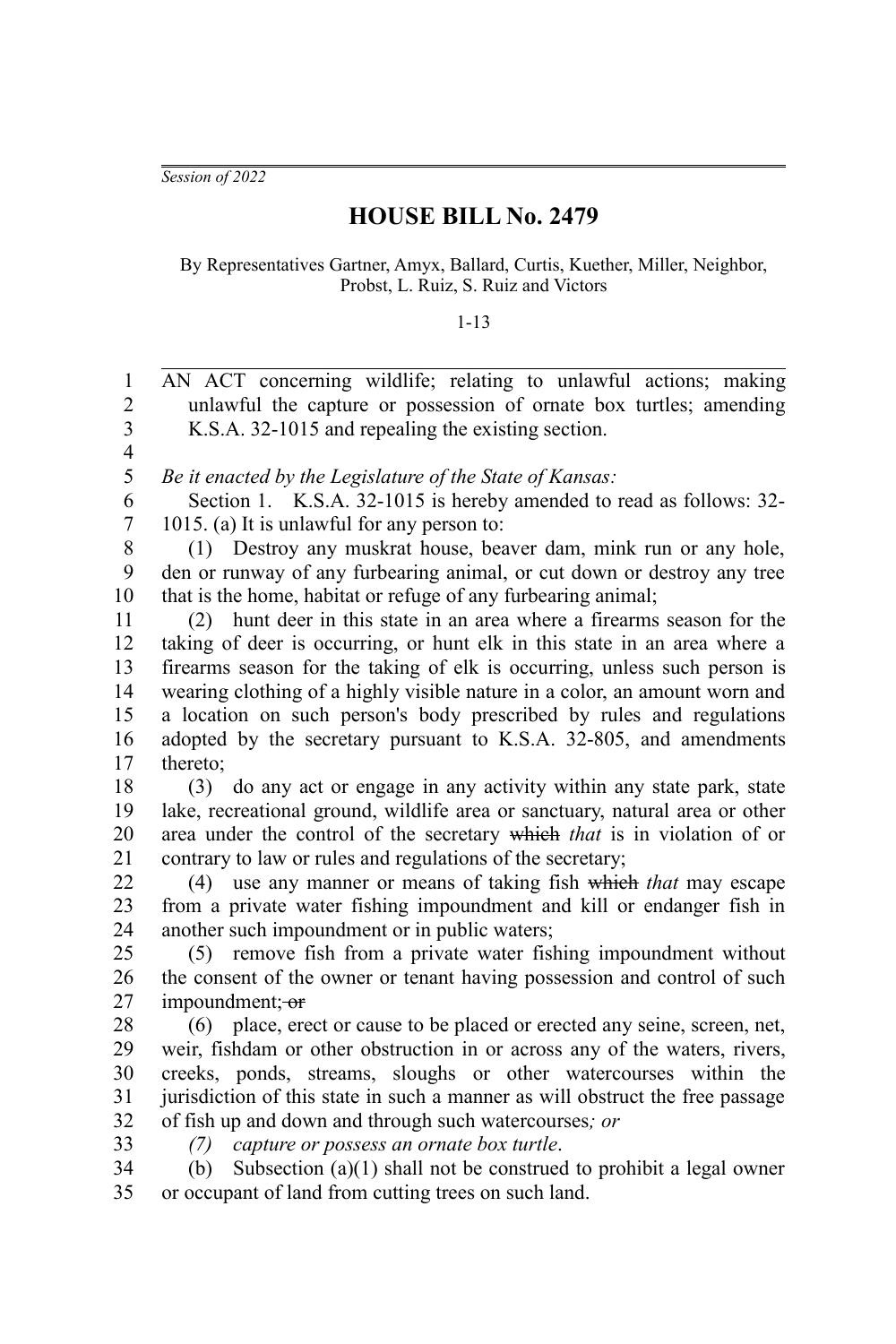*Session of 2022*

## **HOUSE BILL No. 2479**

By Representatives Gartner, Amyx, Ballard, Curtis, Kuether, Miller, Neighbor, Probst, L. Ruiz, S. Ruiz and Victors

## 1-13

| 1                       | AN ACT concerning wildlife; relating to unlawful actions; making              |
|-------------------------|-------------------------------------------------------------------------------|
| $\overline{2}$          | unlawful the capture or possession of ornate box turtles; amending            |
| $\overline{\mathbf{3}}$ | K.S.A. 32-1015 and repealing the existing section.                            |
| $\overline{\mathbf{4}}$ |                                                                               |
| 5                       | Be it enacted by the Legislature of the State of Kansas:                      |
| 6                       | Section 1. K.S.A. 32-1015 is hereby amended to read as follows: 32-           |
| $\boldsymbol{7}$        | 1015. (a) It is unlawful for any person to:                                   |
| $\,$ $\,$               | (1) Destroy any muskrat house, beaver dam, mink run or any hole,              |
| 9                       | den or runway of any furbearing animal, or cut down or destroy any tree       |
| 10                      | that is the home, habitat or refuge of any furbearing animal;                 |
| 11                      | hunt deer in this state in an area where a firearms season for the<br>(2)     |
| 12                      | taking of deer is occurring, or hunt elk in this state in an area where a     |
| 13                      | firearms season for the taking of elk is occurring, unless such person is     |
| 14                      | wearing clothing of a highly visible nature in a color, an amount worn and    |
| 15                      | a location on such person's body prescribed by rules and regulations          |
| 16                      | adopted by the secretary pursuant to K.S.A. 32-805, and amendments            |
| 17                      | thereto;                                                                      |
| 18                      | do any act or engage in any activity within any state park, state<br>(3)      |
| 19                      | lake, recreational ground, wildlife area or sanctuary, natural area or other  |
| 20                      | area under the control of the secretary which that is in violation of or      |
| 21                      | contrary to law or rules and regulations of the secretary;                    |
| 22                      | (4) use any manner or means of taking fish which that may escape              |
| 23                      | from a private water fishing impoundment and kill or endanger fish in         |
| 24                      | another such impoundment or in public waters;                                 |
| 25                      | (5) remove fish from a private water fishing impoundment without              |
| 26                      | the consent of the owner or tenant having possession and control of such      |
| 27                      | impoundment; or                                                               |
| 28                      | (6) place, erect or cause to be placed or erected any seine, screen, net,     |
| 29                      | weir, fishdam or other obstruction in or across any of the waters, rivers,    |
| 30                      | creeks, ponds, streams, sloughs or other watercourses within the              |
| 31                      | jurisdiction of this state in such a manner as will obstruct the free passage |
| 32                      | of fish up and down and through such watercourses; or                         |
| 33                      | capture or possess an ornate box turtle.<br>(7)                               |
| 34                      | Subsection $(a)(1)$ shall not be construed to prohibit a legal owner<br>(b)   |
| 35                      | or occupant of land from cutting trees on such land.                          |
|                         |                                                                               |